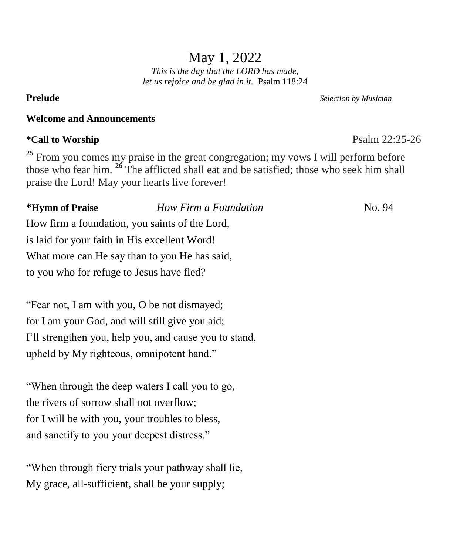# May 1, 2022

*This is the day that the LORD has made, let us rejoice and be glad in it.* Psalm 118:24

# **Welcome and Announcements**

# **\*Call to Worship** Psalm 22:25-26

<sup>25</sup> From you comes my praise in the great congregation; my vows I will perform before those who fear him. **<sup>26</sup>** The afflicted shall eat and be satisfied; those who seek him shall praise the Lord! May your hearts live forever!

**\*Hymn of Praise** *How Firm a Foundation* No. 94 How firm a foundation, you saints of the Lord, is laid for your faith in His excellent Word! What more can He say than to you He has said, to you who for refuge to Jesus have fled?

"Fear not, I am with you, O be not dismayed; for I am your God, and will still give you aid; I'll strengthen you, help you, and cause you to stand, upheld by My righteous, omnipotent hand."

"When through the deep waters I call you to go, the rivers of sorrow shall not overflow; for I will be with you, your troubles to bless, and sanctify to you your deepest distress."

"When through fiery trials your pathway shall lie, My grace, all-sufficient, shall be your supply;

**Prelude** *Selection by Musician*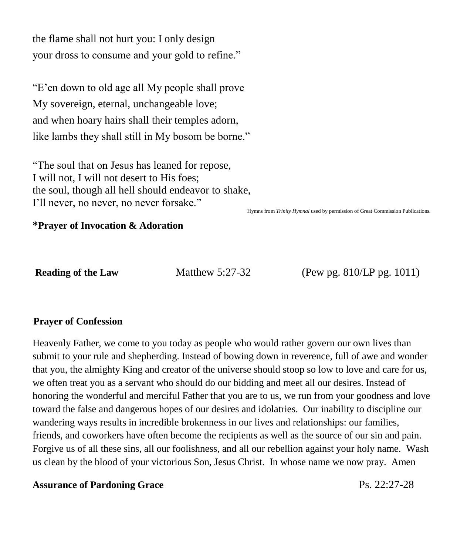the flame shall not hurt you: I only design your dross to consume and your gold to refine."

"E'en down to old age all My people shall prove My sovereign, eternal, unchangeable love; and when hoary hairs shall their temples adorn, like lambs they shall still in My bosom be borne."

"The soul that on Jesus has leaned for repose, I will not, I will not desert to His foes; the soul, though all hell should endeavor to shake, I'll never, no never, no never forsake."

Hymns from *Trinity Hymnal* used by permission of Great Commission Publications.

#### **\*Prayer of Invocation & Adoration**

**Reading of the Law Matthew 5:27-32 (Pew pg. 810/LP pg. 1011)** 

#### \**Prayer of Confession**

Heavenly Father, we come to you today as people who would rather govern our own lives than submit to your rule and shepherding. Instead of bowing down in reverence, full of awe and wonder that you, the almighty King and creator of the universe should stoop so low to love and care for us, we often treat you as a servant who should do our bidding and meet all our desires. Instead of honoring the wonderful and merciful Father that you are to us, we run from your goodness and love toward the false and dangerous hopes of our desires and idolatries. Our inability to discipline our wandering ways results in incredible brokenness in our lives and relationships: our families, friends, and coworkers have often become the recipients as well as the source of our sin and pain. Forgive us of all these sins, all our foolishness, and all our rebellion against your holy name. Wash us clean by the blood of your victorious Son, Jesus Christ. In whose name we now pray. Amen

#### Assurance of Pardoning Grace **Ps. 22:27-28**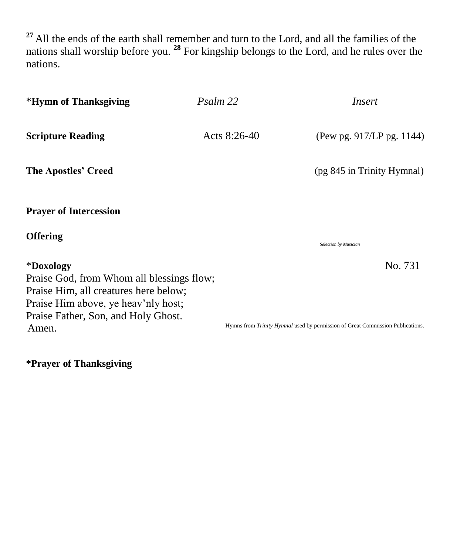**<sup>27</sup>** All the ends of the earth shall remember and turn to the Lord, and all the families of the nations shall worship before you. **<sup>28</sup>** For kingship belongs to the Lord, and he rules over the nations.

| *Hymn of Thanksgiving                                                                                                                                                         | Psalm 22       | Insert                                                                         |  |  |
|-------------------------------------------------------------------------------------------------------------------------------------------------------------------------------|----------------|--------------------------------------------------------------------------------|--|--|
| <b>Scripture Reading</b>                                                                                                                                                      | Acts $8:26-40$ | (Pew pg. 917/LP pg. 1144)                                                      |  |  |
| <b>The Apostles' Creed</b>                                                                                                                                                    |                | (pg 845 in Trinity Hymnal)                                                     |  |  |
| <b>Prayer of Intercession</b>                                                                                                                                                 |                |                                                                                |  |  |
| <b>Offering</b>                                                                                                                                                               |                | <b>Selection by Musician</b>                                                   |  |  |
| *Doxology<br>Praise God, from Whom all blessings flow;<br>Praise Him, all creatures here below;<br>Praise Him above, ye heav'nly host;<br>Praise Father, Son, and Holy Ghost. |                | No. 731                                                                        |  |  |
| Amen.                                                                                                                                                                         |                | Hymns from Trinity Hymnal used by permission of Great Commission Publications. |  |  |

**\*Prayer of Thanksgiving**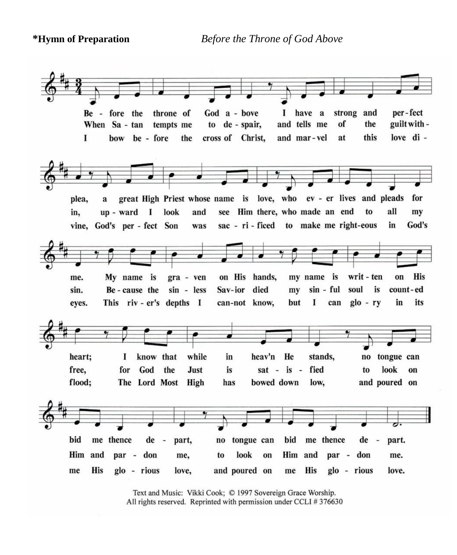**\*Hymn of Preparation** *Before the Throne of God Above*



Text and Music: Vikki Cook; © 1997 Sovereign Grace Worship. All rights reserved. Reprinted with permission under CCLI #376630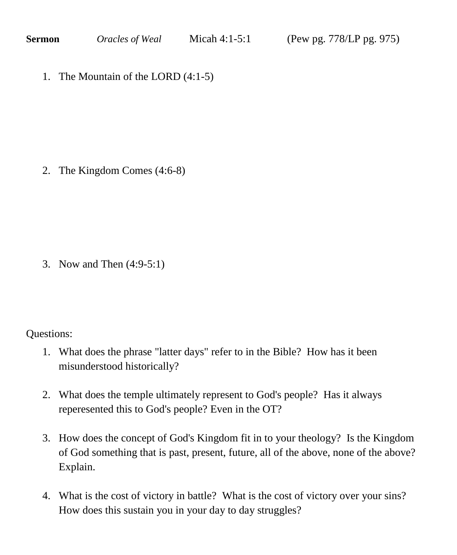1. The Mountain of the LORD (4:1-5)

2. The Kingdom Comes (4:6-8)

3. Now and Then (4:9-5:1)

Questions:

- 1. What does the phrase "latter days" refer to in the Bible? How has it been misunderstood historically?
- 2. What does the temple ultimately represent to God's people? Has it always reperesented this to God's people? Even in the OT?
- 3. How does the concept of God's Kingdom fit in to your theology? Is the Kingdom of God something that is past, present, future, all of the above, none of the above? Explain.
- 4. What is the cost of victory in battle? What is the cost of victory over your sins? How does this sustain you in your day to day struggles?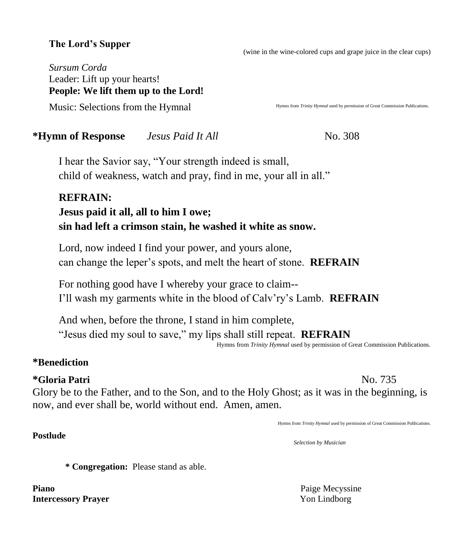# **The Lord's Supper**

(wine in the wine-colored cups and grape juice in the clear cups)

*Sursum Corda* Leader: Lift up your hearts! **People: We lift them up to the Lord!** 

Music: Selections from the Hymnal

Hymns from *Trinity Hymnal* used by permission of Great Commission Publications.

#### **\*Hymn of Response** *<i>Jesus Paid It All* **<b>Constant Constant Constant** No. 308

I hear the Savior say, "Your strength indeed is small, child of weakness, watch and pray, find in me, your all in all."

# **REFRAIN: Jesus paid it all, all to him I owe; sin had left a crimson stain, he washed it white as snow.**

Lord, now indeed I find your power, and yours alone, can change the leper's spots, and melt the heart of stone. **REFRAIN**

For nothing good have I whereby your grace to claim-- I'll wash my garments white in the blood of Calv'ry's Lamb. **REFRAIN**

And when, before the throne, I stand in him complete, "Jesus died my soul to save," my lips shall still repeat. **REFRAIN** Hymns from *Trinity Hymnal* used by permission of Great Commission Publications.

#### **\*Benediction**

#### **\*Gloria Patri** No. 735

**Postlude** 

Glory be to the Father, and to the Son, and to the Holy Ghost; as it was in the beginning, is now, and ever shall be, world without end. Amen, amen.

Hymns from *Trinity Hymnal* used by permission of Great Commission Publications.

*Selection by Musician*

**\* Congregation:** Please stand as able.

**Piano** Paige Mecyssine **Intercessory Prayer** Yon Lindborg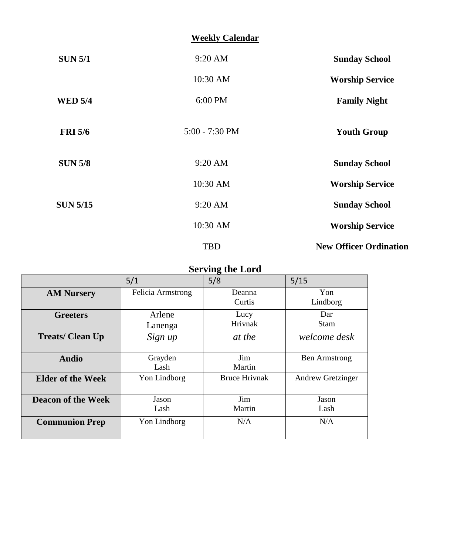# **Weekly Calendar**

| <b>Sunday School</b>          | $9:20$ AM        | <b>SUN 5/1</b>  |
|-------------------------------|------------------|-----------------|
| <b>Worship Service</b>        | 10:30 AM         |                 |
| <b>Family Night</b>           | 6:00 PM          | <b>WED 5/4</b>  |
| <b>Youth Group</b>            | $5:00 - 7:30$ PM | <b>FRI 5/6</b>  |
| <b>Sunday School</b>          | $9:20$ AM        | <b>SUN 5/8</b>  |
| <b>Worship Service</b>        | 10:30 AM         |                 |
| <b>Sunday School</b>          | $9:20$ AM        | <b>SUN 5/15</b> |
| <b>Worship Service</b>        | 10:30 AM         |                 |
| <b>New Officer Ordination</b> | <b>TBD</b>       |                 |

# **Serving the Lord**

|                           | 5/1               | 5/8                  | 5/15                 |
|---------------------------|-------------------|----------------------|----------------------|
| <b>AM Nursery</b>         | Felicia Armstrong | Deanna<br>Curtis     | Yon<br>Lindborg      |
| <b>Greeters</b>           | Arlene<br>Lanenga | Lucy<br>Hrivnak      | Dar<br><b>Stam</b>   |
| <b>Treats/Clean Up</b>    | Sign up           | at the               | welcome desk         |
| <b>Audio</b>              | Grayden<br>Lash   | Jim<br>Martin        | <b>Ben Armstrong</b> |
| <b>Elder of the Week</b>  | Yon Lindborg      | <b>Bruce Hrivnak</b> | Andrew Gretzinger    |
| <b>Deacon of the Week</b> | Jason<br>Lash     | Jim<br>Martin        | Jason<br>Lash        |
| <b>Communion Prep</b>     | Yon Lindborg      | N/A                  | N/A                  |